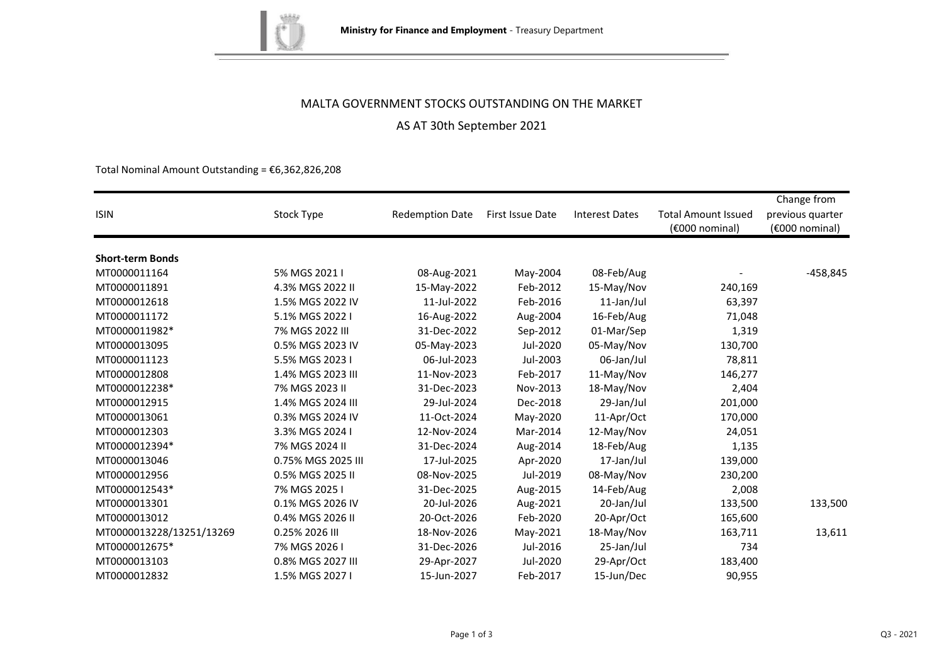

### MALTA GOVERNMENT STOCKS OUTSTANDING ON THE MARKET

### AS AT 30th September 2021

Total Nominal Amount Outstanding =  $£6,362,826,208$ 

| <b>ISIN</b>              | Stock Type         | <b>Redemption Date</b> | First Issue Date | <b>Interest Dates</b> | <b>Total Amount Issued</b><br>(€000 nominal) | Change from<br>previous quarter<br>(€000 nominal) |
|--------------------------|--------------------|------------------------|------------------|-----------------------|----------------------------------------------|---------------------------------------------------|
| <b>Short-term Bonds</b>  |                    |                        |                  |                       |                                              |                                                   |
| MT0000011164             | 5% MGS 2021 I      | 08-Aug-2021            | May-2004         | 08-Feb/Aug            |                                              | $-458,845$                                        |
| MT0000011891             | 4.3% MGS 2022 II   | 15-May-2022            | Feb-2012         | 15-May/Nov            | 240,169                                      |                                                   |
| MT0000012618             | 1.5% MGS 2022 IV   | 11-Jul-2022            | Feb-2016         | 11-Jan/Jul            | 63,397                                       |                                                   |
| MT0000011172             | 5.1% MGS 2022 I    | 16-Aug-2022            | Aug-2004         | 16-Feb/Aug            | 71,048                                       |                                                   |
| MT0000011982*            | 7% MGS 2022 III    | 31-Dec-2022            | Sep-2012         | 01-Mar/Sep            | 1,319                                        |                                                   |
| MT0000013095             | 0.5% MGS 2023 IV   | 05-May-2023            | Jul-2020         | 05-May/Nov            | 130,700                                      |                                                   |
| MT0000011123             | 5.5% MGS 2023 I    | 06-Jul-2023            | Jul-2003         | 06-Jan/Jul            | 78,811                                       |                                                   |
| MT0000012808             | 1.4% MGS 2023 III  | 11-Nov-2023            | Feb-2017         | 11-May/Nov            | 146,277                                      |                                                   |
| MT0000012238*            | 7% MGS 2023 II     | 31-Dec-2023            | Nov-2013         | 18-May/Nov            | 2,404                                        |                                                   |
| MT0000012915             | 1.4% MGS 2024 III  | 29-Jul-2024            | Dec-2018         |                       |                                              |                                                   |
|                          |                    |                        |                  | 29-Jan/Jul            | 201,000                                      |                                                   |
| MT0000013061             | 0.3% MGS 2024 IV   | 11-Oct-2024            | May-2020         | 11-Apr/Oct            | 170,000                                      |                                                   |
| MT0000012303             | 3.3% MGS 2024 I    | 12-Nov-2024            | Mar-2014         | 12-May/Nov            | 24,051                                       |                                                   |
| MT0000012394*            | 7% MGS 2024 II     | 31-Dec-2024            | Aug-2014         | 18-Feb/Aug            | 1,135                                        |                                                   |
| MT0000013046             | 0.75% MGS 2025 III | 17-Jul-2025            | Apr-2020         | 17-Jan/Jul            | 139,000                                      |                                                   |
| MT0000012956             | 0.5% MGS 2025 II   | 08-Nov-2025            | Jul-2019         | 08-May/Nov            | 230,200                                      |                                                   |
| MT0000012543*            | 7% MGS 2025 I      | 31-Dec-2025            | Aug-2015         | 14-Feb/Aug            | 2,008                                        |                                                   |
| MT0000013301             | 0.1% MGS 2026 IV   | 20-Jul-2026            | Aug-2021         | 20-Jan/Jul            | 133,500                                      | 133,500                                           |
| MT0000013012             | 0.4% MGS 2026 II   | 20-Oct-2026            | Feb-2020         | 20-Apr/Oct            | 165,600                                      |                                                   |
| MT0000013228/13251/13269 | 0.25% 2026 III     | 18-Nov-2026            | May-2021         | 18-May/Nov            | 163,711                                      | 13,611                                            |
| MT0000012675*            | 7% MGS 2026 I      | 31-Dec-2026            | Jul-2016         | 25-Jan/Jul            | 734                                          |                                                   |
| MT0000013103             | 0.8% MGS 2027 III  | 29-Apr-2027            | Jul-2020         | 29-Apr/Oct            | 183,400                                      |                                                   |
| MT0000012832             | 1.5% MGS 2027 I    | 15-Jun-2027            | Feb-2017         | 15-Jun/Dec            | 90,955                                       |                                                   |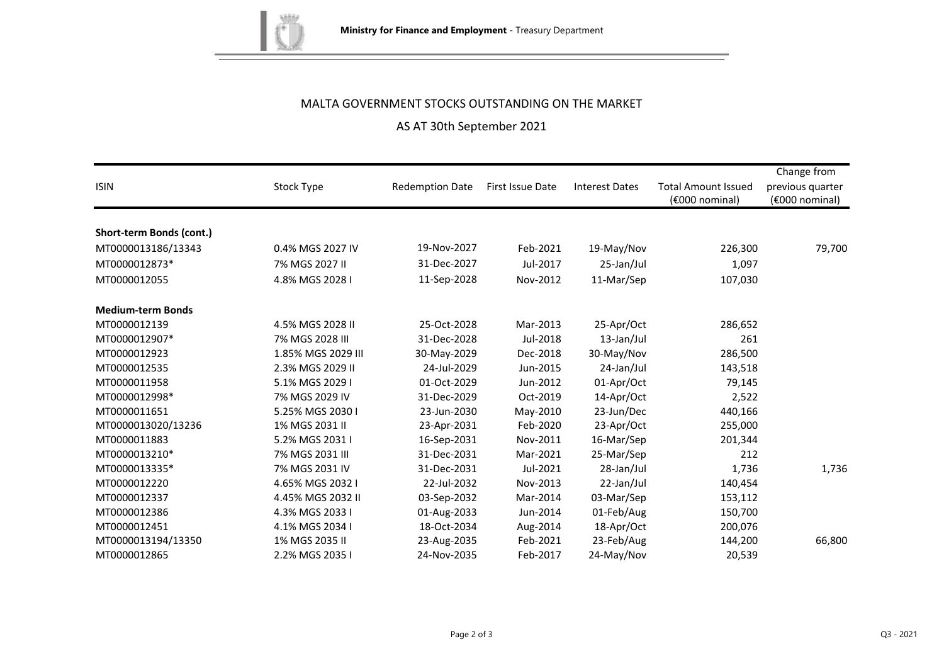

# MALTA GOVERNMENT STOCKS OUTSTANDING ON THE MARKET

# AS AT 30th September 2021

|                          |                    |                        |                  |                       |                            | Change from      |
|--------------------------|--------------------|------------------------|------------------|-----------------------|----------------------------|------------------|
| <b>ISIN</b>              | Stock Type         | <b>Redemption Date</b> | First Issue Date | <b>Interest Dates</b> | <b>Total Amount Issued</b> | previous quarter |
|                          |                    |                        |                  |                       | (€000 nominal)             | (€000 nominal)   |
|                          |                    |                        |                  |                       |                            |                  |
| Short-term Bonds (cont.) |                    |                        |                  |                       |                            |                  |
| MT0000013186/13343       | 0.4% MGS 2027 IV   | 19-Nov-2027            | Feb-2021         | 19-May/Nov            | 226,300                    | 79,700           |
| MT0000012873*            | 7% MGS 2027 II     | 31-Dec-2027            | Jul-2017         | 25-Jan/Jul            | 1,097                      |                  |
| MT0000012055             | 4.8% MGS 2028 I    | 11-Sep-2028            | Nov-2012         | 11-Mar/Sep            | 107,030                    |                  |
| <b>Medium-term Bonds</b> |                    |                        |                  |                       |                            |                  |
| MT0000012139             | 4.5% MGS 2028 II   | 25-Oct-2028            | Mar-2013         | 25-Apr/Oct            | 286,652                    |                  |
| MT0000012907*            | 7% MGS 2028 III    | 31-Dec-2028            | Jul-2018         | 13-Jan/Jul            | 261                        |                  |
| MT0000012923             | 1.85% MGS 2029 III | 30-May-2029            | Dec-2018         | 30-May/Nov            | 286,500                    |                  |
| MT0000012535             | 2.3% MGS 2029 II   | 24-Jul-2029            | Jun-2015         | 24-Jan/Jul            | 143,518                    |                  |
| MT0000011958             | 5.1% MGS 2029 I    | 01-Oct-2029            | Jun-2012         | 01-Apr/Oct            | 79,145                     |                  |
| MT0000012998*            | 7% MGS 2029 IV     | 31-Dec-2029            | Oct-2019         | 14-Apr/Oct            | 2,522                      |                  |
| MT0000011651             | 5.25% MGS 2030 I   | 23-Jun-2030            | May-2010         | 23-Jun/Dec            | 440,166                    |                  |
| MT0000013020/13236       | 1% MGS 2031 II     | 23-Apr-2031            | Feb-2020         | 23-Apr/Oct            | 255,000                    |                  |
| MT0000011883             | 5.2% MGS 2031 I    | 16-Sep-2031            | Nov-2011         | 16-Mar/Sep            | 201,344                    |                  |
| MT0000013210*            | 7% MGS 2031 III    | 31-Dec-2031            | Mar-2021         | 25-Mar/Sep            | 212                        |                  |
| MT0000013335*            | 7% MGS 2031 IV     | 31-Dec-2031            | Jul-2021         | 28-Jan/Jul            | 1,736                      | 1,736            |
| MT0000012220             | 4.65% MGS 2032 I   | 22-Jul-2032            | Nov-2013         | 22-Jan/Jul            | 140,454                    |                  |
| MT0000012337             | 4.45% MGS 2032 II  | 03-Sep-2032            | Mar-2014         | 03-Mar/Sep            | 153,112                    |                  |
| MT0000012386             | 4.3% MGS 2033 I    | 01-Aug-2033            | Jun-2014         | 01-Feb/Aug            | 150,700                    |                  |
| MT0000012451             | 4.1% MGS 2034 I    | 18-Oct-2034            | Aug-2014         | 18-Apr/Oct            | 200,076                    |                  |
| MT0000013194/13350       | 1% MGS 2035 II     | 23-Aug-2035            | Feb-2021         | 23-Feb/Aug            | 144,200                    | 66,800           |
| MT0000012865             | 2.2% MGS 2035 I    | 24-Nov-2035            | Feb-2017         | 24-May/Nov            | 20,539                     |                  |